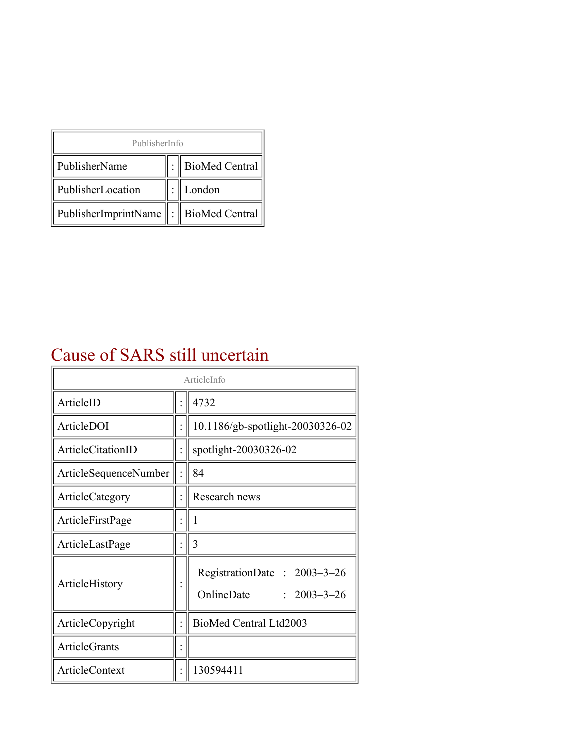| PublisherInfo                                   |  |                    |  |  |
|-------------------------------------------------|--|--------------------|--|--|
| PublisherName                                   |  | :   BioMed Central |  |  |
| PublisherLocation                               |  | London             |  |  |
| PublisherImprintName $\ \cdot\ $ BioMed Central |  |                    |  |  |

## Cause of SARS still uncertain

| ArticleInfo           |  |                                                                     |
|-----------------------|--|---------------------------------------------------------------------|
| ArticleID             |  | 4732                                                                |
| ArticleDOI            |  | 10.1186/gb-spotlight-20030326-02                                    |
| ArticleCitationID     |  | spotlight-20030326-02                                               |
| ArticleSequenceNumber |  | 84                                                                  |
| ArticleCategory       |  | Research news                                                       |
| ArticleFirstPage      |  | I                                                                   |
| ArticleLastPage       |  | 3                                                                   |
| ArticleHistory        |  | RegistrationDate: 2003-3-26<br>OnlineDate<br>$\therefore$ 2003-3-26 |
| ArticleCopyright      |  | BioMed Central Ltd2003                                              |
| <b>ArticleGrants</b>  |  |                                                                     |
| <b>ArticleContext</b> |  | 130594411                                                           |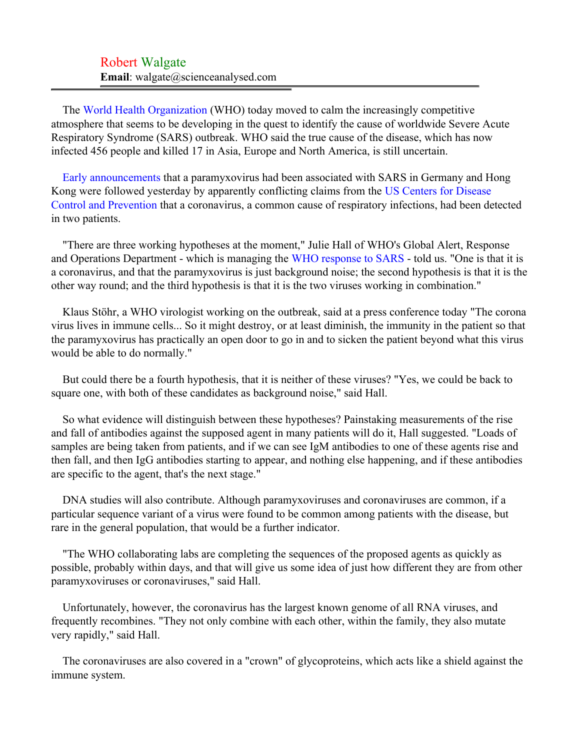## Robert Walgate **Email**: walgate@scienceanalysed.com

The [World Health Organization](#page-2-0) (WHO) today moved to calm the increasingly competitive atmosphere that seems to be developing in the quest to identify the cause of worldwide Severe Acute Respiratory Syndrome (SARS) outbreak. WHO said the true cause of the disease, which has now infected 456 people and killed 17 in Asia, Europe and North America, is still uncertain.

[Early announcements](#page-2-1) that a paramyxovirus had been associated with SARS in Germany and Hong Kong were followed yesterday by apparently conflicting claims from the [US Centers for Disease](#page-2-2) [Control and Prevention](#page-2-2) that a coronavirus, a common cause of respiratory infections, had been detected in two patients.

"There are three working hypotheses at the moment," Julie Hall of WHO's Global Alert, Response and Operations Department - which is managing the [WHO response to SARS](#page-2-3) - told us. "One is that it is a coronavirus, and that the paramyxovirus is just background noise; the second hypothesis is that it is the other way round; and the third hypothesis is that it is the two viruses working in combination."

Klaus Stöhr, a WHO virologist working on the outbreak, said at a press conference today "The corona virus lives in immune cells... So it might destroy, or at least diminish, the immunity in the patient so that the paramyxovirus has practically an open door to go in and to sicken the patient beyond what this virus would be able to do normally."

But could there be a fourth hypothesis, that it is neither of these viruses? "Yes, we could be back to square one, with both of these candidates as background noise," said Hall.

So what evidence will distinguish between these hypotheses? Painstaking measurements of the rise and fall of antibodies against the supposed agent in many patients will do it, Hall suggested. "Loads of samples are being taken from patients, and if we can see IgM antibodies to one of these agents rise and then fall, and then IgG antibodies starting to appear, and nothing else happening, and if these antibodies are specific to the agent, that's the next stage."

DNA studies will also contribute. Although paramyxoviruses and coronaviruses are common, if a particular sequence variant of a virus were found to be common among patients with the disease, but rare in the general population, that would be a further indicator.

"The WHO collaborating labs are completing the sequences of the proposed agents as quickly as possible, probably within days, and that will give us some idea of just how different they are from other paramyxoviruses or coronaviruses," said Hall.

Unfortunately, however, the coronavirus has the largest known genome of all RNA viruses, and frequently recombines. "They not only combine with each other, within the family, they also mutate very rapidly," said Hall.

The coronaviruses are also covered in a "crown" of glycoproteins, which acts like a shield against the immune system.